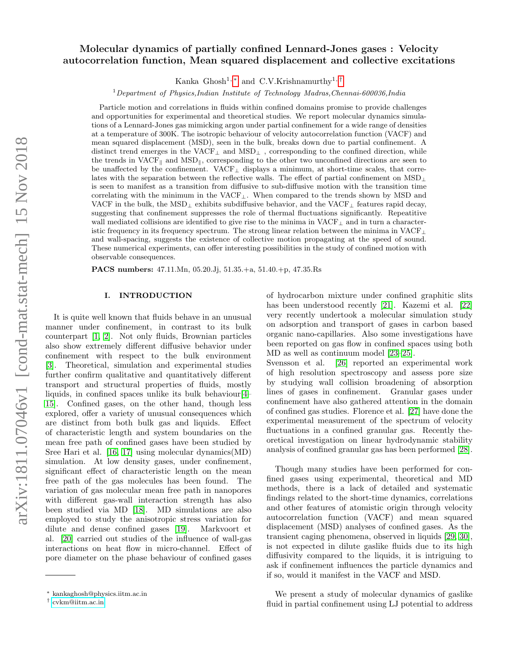# Molecular dynamics of partially confined Lennard-Jones gases : Velocity autocorrelation function, Mean squared displacement and collective excitations

Kanka Ghosh<sup>1,\*</sup> and C.V.Krishnamurthy<sup>1,[†](#page-0-1)</sup>

 $1$ Department of Physics,Indian Institute of Technology Madras,Chennai-600036,India

Particle motion and correlations in fluids within confined domains promise to provide challenges and opportunities for experimental and theoretical studies. We report molecular dynamics simulations of a Lennard-Jones gas mimicking argon under partial confinement for a wide range of densities at a temperature of 300K. The isotropic behaviour of velocity autocorrelation function (VACF) and mean squared displacement (MSD), seen in the bulk, breaks down due to partial confinement. A distinct trend emerges in the  $\text{VACF}_\bot$  and  $\text{MSD}_\bot$  , corresponding to the confined direction, while the trends in VACF<sub>||</sub> and MSD<sub>||</sub>, corresponding to the other two unconfined directions are seen to be unaffected by the confinement. VACF<sup>⊥</sup> displays a minimum, at short-time scales, that correlates with the separation between the reflective walls. The effect of partial confinement on  $\text{MSD}_\perp$ is seen to manifest as a transition from diffusive to sub-diffusive motion with the transition time correlating with the minimum in the VACF⊥. When compared to the trends shown by MSD and VACF in the bulk, the MSD<sub>⊥</sub> exhibits subdiffusive behavior, and the VACF<sub>⊥</sub> features rapid decay, suggesting that confinement suppresses the role of thermal fluctuations significantly. Repeatitive wall mediated collisions are identified to give rise to the minima in  $VACF_{\perp}$  and in turn a characteristic frequency in its frequency spectrum. The strong linear relation between the minima in VACF<sup>⊥</sup> and wall-spacing, suggests the existence of collective motion propagating at the speed of sound. These numerical experiments, can offer interesting possibilities in the study of confined motion with observable consequences.

PACS numbers: 47.11.Mn, 05.20.Jj, 51.35.+a, 51.40.+p, 47.35.Rs

# I. INTRODUCTION

It is quite well known that fluids behave in an unusual manner under confinement, in contrast to its bulk counterpart [\[1,](#page-14-0) [2\]](#page-14-1). Not only fluids, Brownian particles also show extremely different diffusive behavior under confinement with respect to the bulk environment [\[3\]](#page-14-2). Theoretical, simulation and experimental studies further confirm qualitative and quantitatively different transport and structural properties of fluids, mostly liquids, in confined spaces unlike its bulk behaviour[\[4–](#page-14-3) [15\]](#page-14-4). Confined gases, on the other hand, though less explored, offer a variety of unusual consequences which are distinct from both bulk gas and liquids. Effect of characteristic length and system boundaries on the mean free path of confined gases have been studied by Sree Hari et al. [\[16,](#page-14-5) [17\]](#page-14-6) using molecular dynamics(MD) simulation. At low density gases, under confinement, significant effect of characteristic length on the mean free path of the gas molecules has been found. The variation of gas molecular mean free path in nanopores with different gas-wall interaction strength has also been studied via MD [\[18\]](#page-14-7). MD simulations are also employed to study the anisotropic stress variation for dilute and dense confined gases [\[19\]](#page-14-8). Markvoort et al. [\[20\]](#page-14-9) carried out studies of the influence of wall-gas interactions on heat flow in micro-channel. Effect of pore diameter on the phase behaviour of confined gases

of hydrocarbon mixture under confined graphitic slits has been understood recently [\[21\]](#page-14-10). Kazemi et al. [\[22\]](#page-14-11) very recently undertook a molecular simulation study on adsorption and transport of gases in carbon based organic nano-capillaries. Also some investigations have been reported on gas flow in confined spaces using both MD as well as continuum model [\[23](#page-15-0)[–25\]](#page-15-1).

Svensson et al. [\[26\]](#page-15-2) reported an experimental work of high resolution spectroscopy and assess pore size by studying wall collision broadening of absorption lines of gases in confinement. Granular gases under confinement have also gathered attention in the domain of confined gas studies. Florence et al. [\[27\]](#page-15-3) have done the experimental measurement of the spectrum of velocity fluctuations in a confined granular gas. Recently theoretical investigation on linear hydrodynamic stability analysis of confined granular gas has been performed [\[28\]](#page-15-4).

Though many studies have been performed for confined gases using experimental, theoretical and MD methods, there is a lack of detailed and systematic findings related to the short-time dynamics, correlations and other features of atomistic origin through velocity autocorrelation function (VACF) and mean squared displacement (MSD) analyses of confined gases. As the transient caging phenomena, observed in liquids [\[29,](#page-15-5) [30\]](#page-15-6), is not expected in dilute gaslike fluids due to its high diffusivity compared to the liquids, it is intriguing to ask if confinement influences the particle dynamics and if so, would it manifest in the VACF and MSD.

We present a study of molecular dynamics of gaslike fluid in partial confinement using LJ potential to address

<span id="page-0-0"></span><sup>∗</sup> kankaghosh@physics.iitm.ac.in

<span id="page-0-1"></span><sup>†</sup> [cvkm@iitm.ac.in](mailto:cvkm@iitm.ac.in)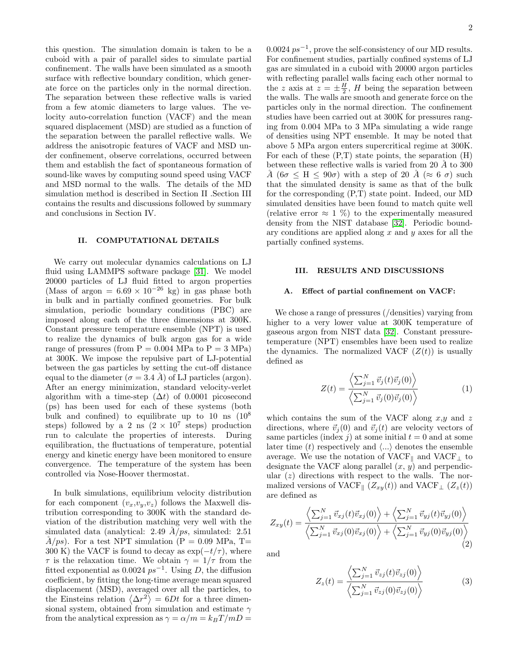this question. The simulation domain is taken to be a cuboid with a pair of parallel sides to simulate partial confinement. The walls have been simulated as a smooth surface with reflective boundary condition, which generate force on the particles only in the normal direction. The separation between these reflective walls is varied from a few atomic diameters to large values. The velocity auto-correlation function (VACF) and the mean squared displacement (MSD) are studied as a function of the separation between the parallel reflective walls. We address the anisotropic features of VACF and MSD under confinement, observe correlations, occurred between them and establish the fact of spontaneous formation of sound-like waves by computing sound speed using VACF and MSD normal to the walls. The details of the MD simulation method is described in Section II .Section III contains the results and discussions followed by summary and conclusions in Section IV.

### II. COMPUTATIONAL DETAILS

We carry out molecular dynamics calculations on LJ fluid using LAMMPS software package [\[31\]](#page-15-7). We model 20000 particles of LJ fluid fitted to argon properties (Mass of argon =  $6.69 \times 10^{-26}$  kg) in gas phase both in bulk and in partially confined geometries. For bulk simulation, periodic boundary conditions (PBC) are imposed along each of the three dimensions at 300K. Constant pressure temperature ensemble (NPT) is used to realize the dynamics of bulk argon gas for a wide range of pressures (from  $P = 0.004$  MPa to  $P = 3$  MPa) at 300K. We impose the repulsive part of LJ-potential between the gas particles by setting the cut-off distance equal to the diameter  $(\sigma = 3.4 \text{ Å})$  of LJ particles (argon). After an energy minimization, standard velocity-verlet algorithm with a time-step  $(\Delta t)$  of 0.0001 picosecond (ps) has been used for each of these systems (both bulk and confined) to equilibrate up to 10 ns  $(10^8)$ steps) followed by a 2 ns  $(2 \times 10^7 \text{ steps})$  production run to calculate the properties of interests. During equilibration, the fluctuations of temperature, potential energy and kinetic energy have been monitored to ensure convergence. The temperature of the system has been controlled via Nose-Hoover thermostat.

In bulk simulations, equilibrium velocity distribution for each component  $(v_x,v_y,v_z)$  follows the Maxwell distribution corresponding to 300K with the standard deviation of the distribution matching very well with the simulated data (analytical: 2.49  $A/ps$ , simulated: 2.51  $\AA(ps)$ . For a test NPT simulation (P = 0.09 MPa, T= 300 K) the VACF is found to decay as  $\exp(-t/\tau)$ , where  $\tau$  is the relaxation time. We obtain  $\gamma = 1/\tau$  from the fitted exponential as  $0.0024 ps^{-1}$ . Using D, the diffusion coefficient, by fitting the long-time average mean squared displacement (MSD), averaged over all the particles, to the Einsteins relation  $\langle \Delta r^2 \rangle = 6Dt$  for a three dimensional system, obtained from simulation and estimate  $\gamma$ from the analytical expression as  $\gamma = \alpha/m = k_BT/mD =$ 

 $0.0024 \ ps^{-1}$ , prove the self-consistency of our MD results. For confinement studies, partially confined systems of LJ gas are simulated in a cuboid with 20000 argon particles with reflecting parallel walls facing each other normal to the z axis at  $z = \pm \frac{H}{2}$ , H being the separation between the walls. The walls are smooth and generate force on the particles only in the normal direction. The confinement studies have been carried out at 300K for pressures ranging from 0.004 MPa to 3 MPa simulating a wide range of densities using NPT ensemble. It may be noted that above 5 MPa argon enters supercritical regime at 300K. For each of these  $(P,T)$  state points, the separation  $(H)$ between these reflective walls is varied from 20  $\AA$  to 300  $\AA$  (6 $\sigma \leq H \leq 90\sigma$ ) with a step of 20  $\AA$  ( $\approx 6\sigma$ ) such that the simulated density is same as that of the bulk for the corresponding (P,T) state point. Indeed, our MD simulated densities have been found to match quite well (relative error  $\approx 1 \%$ ) to the experimentally measured density from the NIST database [\[32\]](#page-15-8). Periodic boundary conditions are applied along  $x$  and  $y$  axes for all the partially confined systems.

#### III. RESULTS AND DISCUSSIONS

# A. Effect of partial confinement on VACF:

We chose a range of pressures (/densities) varying from higher to a very lower value at 300K temperature of gaseous argon from NIST data [\[32\]](#page-15-8). Constant pressuretemperature (NPT) ensembles have been used to realize the dynamics. The normalized VACF  $(Z(t))$  is usually defined as

$$
Z(t) = \frac{\left\langle \sum_{j=1}^{N} \vec{v}_j(t) \vec{v}_j(0) \right\rangle}{\left\langle \sum_{j=1}^{N} \vec{v}_j(0) \vec{v}_j(0) \right\rangle} \tag{1}
$$

which contains the sum of the VACF along  $x,y$  and z directions, where  $\vec{v}_i(0)$  and  $\vec{v}_i(t)$  are velocity vectors of same particles (index j) at some initial  $t = 0$  and at some later time (t) respectively and  $\langle ... \rangle$  denotes the ensemble average. We use the notation of  $\text{VACF}_\parallel$  and  $\text{VACF}_\perp$  to designate the VACF along parallel  $(x, y)$  and perpendicular  $(z)$  directions with respect to the walls. The normalized versions of VACF<sub>|k</sub>  $(Z_{xy}(t))$  and VACF<sub>⊥</sub>  $(Z_z(t))$ are defined as

$$
Z_{xy}(t) = \frac{\left\langle \sum_{j=1}^{N} \vec{v}_{xj}(t) \vec{v}_{xj}(0) \right\rangle + \left\langle \sum_{j=1}^{N} \vec{v}_{yj}(t) \vec{v}_{yj}(0) \right\rangle}{\left\langle \sum_{j=1}^{N} \vec{v}_{xj}(0) \vec{v}_{xj}(0) \right\rangle + \left\langle \sum_{j=1}^{N} \vec{v}_{yj}(0) \vec{v}_{yj}(0) \right\rangle}
$$
(2)

and

$$
Z_z(t) = \frac{\left\langle \sum_{j=1}^N \vec{v}_{zj}(t) \vec{v}_{zj}(0) \right\rangle}{\left\langle \sum_{j=1}^N \vec{v}_{zj}(0) \vec{v}_{zj}(0) \right\rangle} \tag{3}
$$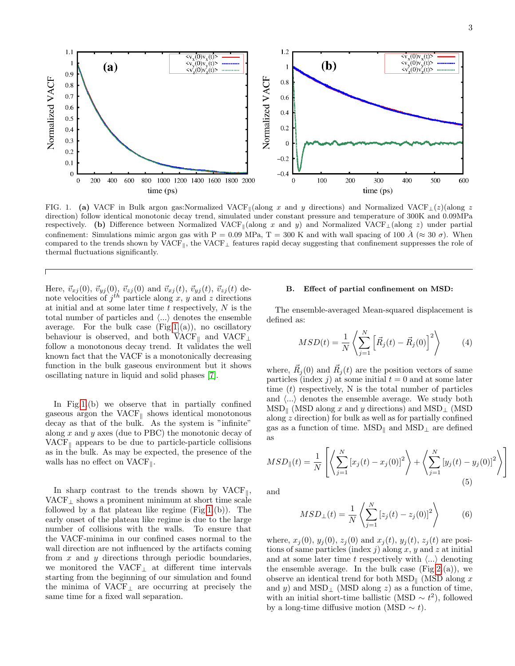

<span id="page-2-0"></span>FIG. 1. (a) VACF in Bulk argon gas:Normalized VACF<sub>||</sub>(along x and y directions) and Normalized VACF<sub>⊥</sub>(z)(along z direction) follow identical monotonic decay trend, simulated under constant pressure and temperature of 300K and 0.09MPa respectively. (b) Difference between Normalized VACF<sub>k</sub>(along x and y) and Normalized VACF<sub>⊥</sub>(along z) under partial confinement: Simulations mimic argon gas with P = 0.09 MPa, T = 300 K and with wall spacing of 100 Å ( $\approx 30 \sigma$ ). When compared to the trends shown by VACF<sub>k</sub>, the VACF<sub>⊥</sub> features rapid decay suggesting that confinement suppresses the role of thermal fluctuations significantly.

Here,  $\vec{v}_{xj}(0), \vec{v}_{yj}(0), \vec{v}_{zj}(0)$  and  $\vec{v}_{xj}(t), \vec{v}_{yj}(t), \vec{v}_{zj}(t)$  denote velocities of  $j^{th}$  particle along x, y and z directions at initial and at some later time  $t$  respectively,  $N$  is the total number of particles and  $\langle \ldots \rangle$  denotes the ensemble average. For the bulk case  $(Fig.1.(a))$  $(Fig.1.(a))$  $(Fig.1.(a))$ , no oscillatory behaviour is observed, and both VACF<sub>k</sub> and VACF<sub>⊥</sub> follow a monotonous decay trend. It validates the well known fact that the VACF is a monotonically decreasing function in the bulk gaseous environment but it shows oscillating nature in liquid and solid phases [\[7\]](#page-14-12).

In Fig[.1.](#page-2-0)(b) we observe that in partially confined gaseous argon the VACF $\parallel$  shows identical monotonous decay as that of the bulk. As the system is "infinite" along x and y axes (due to PBC) the monotonic decay of  $VACF_{\parallel}$  appears to be due to particle-particle collisions as in the bulk. As may be expected, the presence of the walls has no effect on  $VACF_{\parallel}$ .

In sharp contrast to the trends shown by  $VACF_{\parallel}$ , VACF<sub>⊥</sub> shows a prominent minimum at short time scale followed by a flat plateau like regime  $(Fig.1.(b))$  $(Fig.1.(b))$  $(Fig.1.(b))$ . The early onset of the plateau like regime is due to the large number of collisions with the walls. To ensure that the VACF-minima in our confined cases normal to the wall direction are not influenced by the artifacts coming from  $x$  and  $y$  directions through periodic boundaries, we monitored the VACF<sup>⊥</sup> at different time intervals starting from the beginning of our simulation and found the minima of  $VACF_{\perp}$  are occurring at precisely the same time for a fixed wall separation.

### B. Effect of partial confinement on MSD:

The ensemble-averaged Mean-squared displacement is defined as:

$$
MSD(t) = \frac{1}{N} \left\langle \sum_{j=1}^{N} \left[ \vec{R}_j(t) - \vec{R}_j(0) \right]^2 \right\rangle \tag{4}
$$

where,  $\vec{R}_j(0)$  and  $\vec{R}_j(t)$  are the position vectors of same particles (index j) at some initial  $t = 0$  and at some later time  $(t)$  respectively, N is the total number of particles and  $\langle \ldots \rangle$  denotes the ensemble average. We study both  $MSD_{\parallel}$  (MSD along x and y directions) and MSD⊥ (MSD along z direction) for bulk as well as for partially confined gas as a function of time.  $MSD_{\parallel}$  and  $MSD_{\perp}$  are defined as

$$
MSD_{\parallel}(t) = \frac{1}{N} \left[ \left\langle \sum_{j=1}^{N} \left[ x_j(t) - x_j(0) \right]^2 \right\rangle + \left\langle \sum_{j=1}^{N} \left[ y_j(t) - y_j(0) \right]^2 \right\rangle \right]
$$
\n(5)

and

$$
MSD_{\perp}(t) = \frac{1}{N} \left\langle \sum_{j=1}^{N} \left[ z_j(t) - z_j(0) \right]^2 \right\rangle \tag{6}
$$

where,  $x_j(0)$ ,  $y_j(0)$ ,  $z_j(0)$  and  $x_j(t)$ ,  $y_j(t)$ ,  $z_j(t)$  are positions of same particles (index  $j$ ) along  $x, y$  and  $z$  at initial and at some later time t respectively with  $\langle ... \rangle$  denoting the ensemble average. In the bulk case  $(Fig.2.(a))$  $(Fig.2.(a))$  $(Fig.2.(a))$ , we observe an identical trend for both  $\text{MSD}_{\parallel}$  (MSD along x and y) and MSD⊥ (MSD along z) as a function of time, with an initial short-time ballistic (MSD  $\sim t^2$ ), followed by a long-time diffusive motion (MSD  $\sim t$ ).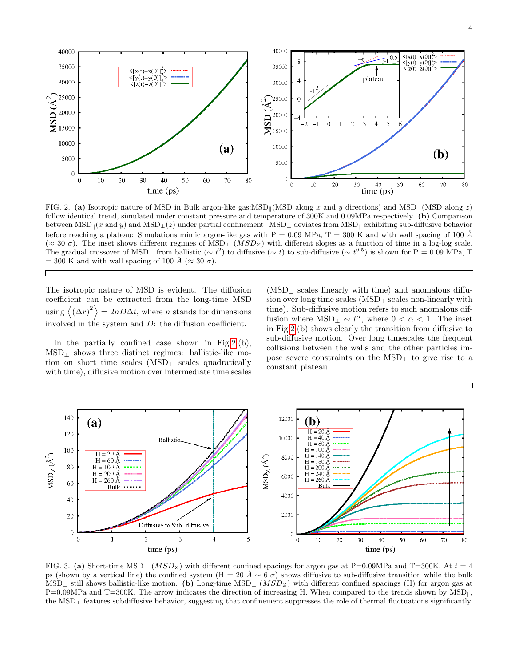

<span id="page-3-0"></span>FIG. 2. (a) Isotropic nature of MSD in Bulk argon-like gas:MSD<sub>k</sub>(MSD along x and y directions) and MSD<sub>⊥</sub>(MSD along z) follow identical trend, simulated under constant pressure and temperature of 300K and 0.09MPa respectively. (b) Comparison between MSD<sub>|</sub>(x and y) and MSD<sub>⊥</sub>(z) under partial confinement: MSD<sub>⊥</sub> deviates from MSD<sub>|</sub> exhibiting sub-diffusive behavior before reaching a plateau: Simulations mimic argon-like gas with  $P = 0.09$  MPa,  $T = 300$  K and with wall spacing of 100 Å  $(\approx 30 \sigma)$ . The inset shows different regimes of MSD<sub>⊥</sub> (*MSD<sub>Z</sub>*) with different slopes as a function of time in a log-log scale. The gradual crossover of MSD<sub>⊥</sub> from ballistic ( $\sim t^2$ ) to diffusive ( $\sim t$ ) to sub-diffusive ( $\sim t^{0.5}$ ) is shown for P = 0.09 MPa, T  $= 300$  K and with wall spacing of 100 A ( $\approx 30 \sigma$ ).

The isotropic nature of MSD is evident. The diffusion coefficient can be extracted from the long-time MSD using  $\langle (\Delta r)^2 \rangle = 2nD\Delta t$ , where *n* stands for dimensions involved in the system and  $D$ : the diffusion coefficient.

 $\overline{\Gamma}$ 

In the partially confined case shown in Fig.  $2.(b)$ .  $MSD<sub>⊥</sub>$  shows three distinct regimes: ballistic-like motion on short time scales (MSD<sup>⊥</sup> scales quadratically with time), diffusive motion over intermediate time scales

 $(MSD<sub>⊥</sub>$  scales linearly with time) and anomalous diffusion over long time scales (MSD<sup>⊥</sup> scales non-linearly with time). Sub-diffusive motion refers to such anomalous diffusion where  $\text{MSD}_{\perp} \sim t^{\alpha}$ , where  $0 < \alpha < 1$ . The inset in Fig[.2.](#page-3-0)(b) shows clearly the transition from diffusive to sub-diffusive motion. Over long timescales the frequent collisions between the walls and the other particles impose severe constraints on the MSD<sup>⊥</sup> to give rise to a constant plateau.



<span id="page-3-1"></span>FIG. 3. (a) Short-time MSD<sub>⊥</sub> (*MSD<sub>Z</sub>*) with different confined spacings for argon gas at P=0.09MPa and T=300K. At  $t = 4$ ps (shown by a vertical line) the confined system (H = 20  $\AA \sim 6 \sigma$ ) shows diffusive to sub-diffusive transition while the bulk  $MSD_{\perp}$  still shows ballistic-like motion. (b) Long-time  $MSD_{\perp}$  ( $MSD_{Z}$ ) with different confined spacings (H) for argon gas at  $P=0.09MPa$  and T=300K. The arrow indicates the direction of increasing H. When compared to the trends shown by MSD<sub>k</sub>, the MSD<sup>⊥</sup> features subdiffusive behavior, suggesting that confinement suppresses the role of thermal fluctuations significantly.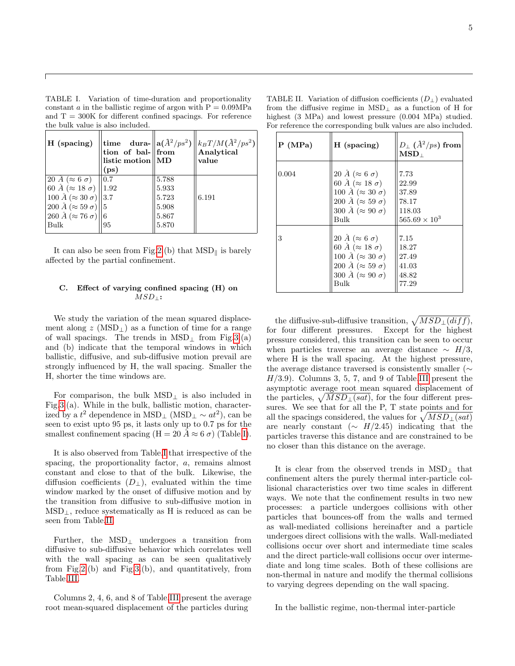<span id="page-4-0"></span>TABLE I. Variation of time-duration and proportionality constant  $a$  in the ballistic regime of argon with  $P = 0.09 \text{MPa}$ and  $T = 300K$  for different confined spacings. For reference the bulk value is also included.

| H (spacing)                               | listic motion    MD<br>(ps) |       | $\begin{array}{ l l }\n\text{time} & \text{dura-}\n\end{array}\n\begin{array}{ l }\n\text{a}(\mathring{A}^2/ps^2) & \text{kgT/M}(\mathring{A}^2/ps^2) \\ \text{tion of bal-}\n\end{array}\n\begin{array}{ l }\n\text{from} & \text{Mau} \\ \text{Analytical}\n\end{array}$<br>value |
|-------------------------------------------|-----------------------------|-------|-------------------------------------------------------------------------------------------------------------------------------------------------------------------------------------------------------------------------------------------------------------------------------------|
| 20 $\AA (\approx 6 \sigma)$   0.7         |                             | 5.788 |                                                                                                                                                                                                                                                                                     |
| 60 $\AA$ ( $\approx$ 18 $\sigma$ )   1.92 |                             | 5.933 |                                                                                                                                                                                                                                                                                     |
| $100 \,\AA (\approx 30 \,\sigma)$ 3.7     |                             | 5.723 | 6.191                                                                                                                                                                                                                                                                               |
| 200 Å ( $\approx$ 59 $\sigma$ )   5       |                             | 5.908 |                                                                                                                                                                                                                                                                                     |
| 260 $\AA (\approx 76 \sigma)$ 6           |                             | 5.867 |                                                                                                                                                                                                                                                                                     |
| Bulk                                      | 95                          | 5.870 |                                                                                                                                                                                                                                                                                     |

It can also be seen from Fig[.2.](#page-3-0)(b) that  $MSD_{\parallel}$  is barely affected by the partial confinement.

# C. Effect of varying confined spacing (H) on  $MSD_$  :

We study the variation of the mean squared displacement along  $z$  (MSD<sub>⊥</sub>) as a function of time for a range of wall spacings. The trends in  $\text{MSD}_\perp$  from Fig[.3.](#page-3-1)(a) and (b) indicate that the temporal windows in which ballistic, diffusive, and sub-diffusive motion prevail are strongly influenced by H, the wall spacing. Smaller the H, shorter the time windows are.

For comparison, the bulk  $MSD_{\perp}$  is also included in Fig[.3.](#page-3-1)(a). While in the bulk, ballistic motion, characterized by a  $t^2$  dependence in MSD<sub>⊥</sub> (MSD<sub>⊥</sub>  $\sim at^2$ ), can be seen to exist upto 95 ps, it lasts only up to 0.7 ps for the smallest confinement spacing (H = 20 Å  $\approx$  6  $\sigma$ ) (Table[.I\)](#page-4-0).

It is also observed from Table[.I](#page-4-0) that irrespective of the spacing, the proportionality factor, a, remains almost constant and close to that of the bulk. Likewise, the diffusion coefficients  $(D_+)$ , evaluated within the time window marked by the onset of diffusive motion and by the transition from diffusive to sub-diffusive motion in  $MSD_{\perp}$ , reduce systematically as H is reduced as can be seen from Table[.II.](#page-4-1)

Further, the MSD<sup>⊥</sup> undergoes a transition from diffusive to sub-diffusive behavior which correlates well with the wall spacing as can be seen qualitatively from Fig[.2.](#page-3-0)(b) and Fig[.3.](#page-3-1)(b), and quantitatively, from Table[.III.](#page-5-0)

Columns 2, 4, 6, and 8 of Table[.III](#page-5-0) present the average root mean-squared displacement of the particles during

<span id="page-4-1"></span>TABLE II. Variation of diffusion coefficients  $(D_+)$  evaluated from the diffusive regime in  $MSD_{\perp}$  as a function of H for highest (3 MPa) and lowest pressure (0.004 MPa) studied. For reference the corresponding bulk values are also included.

| P(MPa) | H (spacing)                                                                                                                                                                | $D_{\perp}$ ( $\AA^2/ps$ ) from<br>$\mathbf{MSD}_\perp$           |
|--------|----------------------------------------------------------------------------------------------------------------------------------------------------------------------------|-------------------------------------------------------------------|
| 0.004  | 20 Å ( $\approx 6 \sigma$ )<br>60 Å ( $\approx$ 18 $\sigma$ )<br>100 Å ( $\approx 30 \sigma$ )<br>200 Å ( $\approx$ 59 $\sigma$ )<br>300 Å ( $\approx 90 \sigma$ )<br>Bulk | 7.73<br>22.99<br>37.89<br>78.17<br>118.03<br>$565.69 \times 10^3$ |
| 3      | 20 Å ( $\approx 6 \sigma$ )<br>60 Å ( $\approx$ 18 $\sigma$ )<br>100 Å ( $\approx 30 \sigma$ )<br>200 Å ( $\approx$ 59 $\sigma$ )<br>300 Å ( $\approx 90 \sigma$ )<br>Bulk | 7.15<br>18.27<br>27.49<br>41.03<br>48.82<br>77.29                 |

the diffusive-sub-diffusive transition,  $\sqrt{MSD_{\perp}(diff)}$ , for four different pressures. Except for the highest pressure considered, this transition can be seen to occur when particles traverse an average distance  $\sim H/3$ , where H is the wall spacing. At the highest pressure, the average distance traversed is consistently smaller (∼  $H/3.9$ ). Columns 3, 5, 7, and 9 of Table[.III](#page-5-0) present the asymptotic average root mean squared displacement of the particles,  $\sqrt{MSD_{\perp}(sat)}$ , for the four different pressures. We see that for all the P, T state points and for all the spacings considered, the values for  $\sqrt{MSD_{\perp}(sat)}$ are nearly constant ( $\sim H/2.45$ ) indicating that the particles traverse this distance and are constrained to be no closer than this distance on the average.

It is clear from the observed trends in MSD<sup>⊥</sup> that confinement alters the purely thermal inter-particle collisional characteristics over two time scales in different ways. We note that the confinement results in two new processes: a particle undergoes collisions with other particles that bounces-off from the walls and termed as wall-mediated collisions hereinafter and a particle undergoes direct collisions with the walls. Wall-mediated collisions occur over short and intermediate time scales and the direct particle-wall collisions occur over intermediate and long time scales. Both of these collisions are non-thermal in nature and modify the thermal collisions to varying degrees depending on the wall spacing.

In the ballistic regime, non-thermal inter-particle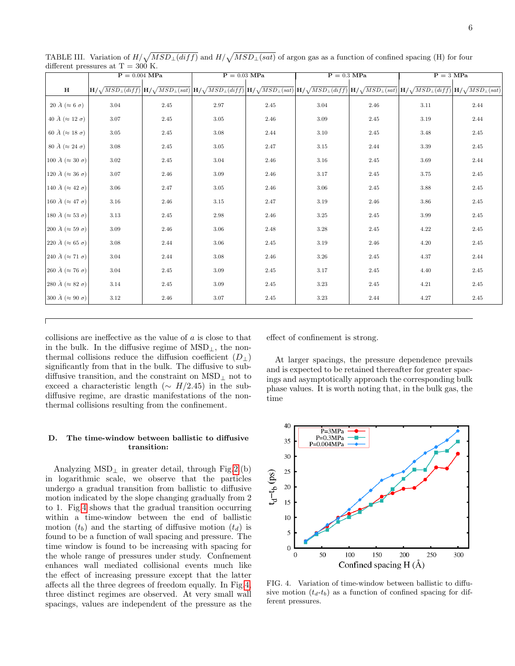|                                     | $P = 0.004$ MPa |      | $P = 0.03$ MPa                                                                                                                                                                                                                                                                                                            |      | $P = 0.3$ MPa |          | $P = 3 MPa$ |          |
|-------------------------------------|-----------------|------|---------------------------------------------------------------------------------------------------------------------------------------------------------------------------------------------------------------------------------------------------------------------------------------------------------------------------|------|---------------|----------|-------------|----------|
| $\mathbf H$                         |                 |      | $\mathbf{H}/\sqrt{MSD_{\perp}(diff)}\mathbf{H}/\sqrt{MSD_{\perp}(sat)}\mathbf{H}/\sqrt{MSD_{\perp}(diff)}\mathbf{H}/\sqrt{MSD_{\perp}(sat)}\mathbf{H}/\sqrt{MSD_{\perp}(diff)}\mathbf{H}/\sqrt{MSD_{\perp}(diff)}\mathbf{H}/\sqrt{MSD_{\perp}(sat)}\mathbf{H}/\sqrt{MSD_{\perp}(diff)}\mathbf{H}/\sqrt{MSD_{\perp}(sat)}$ |      |               |          |             |          |
| 20 Å ( $\approx 6 \sigma$ )         | 3.04            | 2.45 | 2.97                                                                                                                                                                                                                                                                                                                      | 2.45 | 3.04          | 2.46     | 3.11        | 2.44     |
| 40 Å ( $\approx$ 12 $\sigma$ )      | 3.07            | 2.45 | 3.05                                                                                                                                                                                                                                                                                                                      | 2.46 | 3.09          | 2.45     | 3.19        | 2.44     |
| 60 Å ( $\approx$ 18 $\sigma$ )      | 3.05            | 2.45 | 3.08                                                                                                                                                                                                                                                                                                                      | 2.44 | 3.10          | 2.45     | 3.48        | 2.45     |
| 80 Å ( $\approx$ 24 $\sigma$ )      | 3.08            | 2.45 | 3.05                                                                                                                                                                                                                                                                                                                      | 2.47 | 3.15          | 2.44     | 3.39        | 2.45     |
| 100 Å ( $\approx 30 \sigma$ )       | 3.02            | 2.45 | 3.04                                                                                                                                                                                                                                                                                                                      | 2.46 | 3.16          | 2.45     | 3.69        | 2.44     |
| 120 Å ( $\approx 36 \sigma$ )       | $3.07\,$        | 2.46 | 3.09                                                                                                                                                                                                                                                                                                                      | 2.46 | 3.17          | $2.45\,$ | 3.75        | 2.45     |
| 140 Å ( $\approx$ 42 $\sigma$ )     | 3.06            | 2.47 | 3.05                                                                                                                                                                                                                                                                                                                      | 2.46 | 3.06          | 2.45     | 3.88        | 2.45     |
| 160 $\AA$ ( $\approx$ 47 $\sigma$ ) | 3.16            | 2.46 | 3.15                                                                                                                                                                                                                                                                                                                      | 2.47 | 3.19          | 2.46     | 3.86        | 2.45     |
| 180 Å ( $\approx$ 53 $\sigma$ )     | 3.13            | 2.45 | 2.98                                                                                                                                                                                                                                                                                                                      | 2.46 | 3.25          | 2.45     | 3.99        | 2.45     |
| 200 Å ( $\approx$ 59 $\sigma$ )     | $3.09\,$        | 2.46 | $3.06\,$                                                                                                                                                                                                                                                                                                                  | 2.48 | 3.28          | 2.45     | 4.22        | $2.45\,$ |
| 220 Å ( $\approx 65 \sigma$ )       | 3.08            | 2.44 | 3.06                                                                                                                                                                                                                                                                                                                      | 2.45 | 3.19          | 2.46     | 4.20        | 2.45     |
| 240 Å ( $\approx$ 71 $\sigma$ )     | 3.04            | 2.44 | 3.08                                                                                                                                                                                                                                                                                                                      | 2.46 | 3.26          | 2.45     | 4.37        | 2.44     |
| 260 Å ( $\approx$ 76 $\sigma$ )     | 3.04            | 2.45 | 3.09                                                                                                                                                                                                                                                                                                                      | 2.45 | 3.17          | 2.45     | 4.40        | 2.45     |
| 280 Å ( $\approx$ 82 $\sigma$ )     | 3.14            | 2.45 | 3.09                                                                                                                                                                                                                                                                                                                      | 2.45 | 3.23          | 2.45     | 4.21        | 2.45     |
| 300 Å ( $\approx 90 \sigma$ )       | 3.12            | 2.46 | 3.07                                                                                                                                                                                                                                                                                                                      | 2.45 | 3.23          | 2.44     | 4.27        | 2.45     |

<span id="page-5-0"></span>TABLE III. Variation of  $H/\sqrt{MSD_{\perp}(diff)}$  and  $H/\sqrt{MSD_{\perp}(sat)}$  of argon gas as a function of confined spacing (H) for four different pressures at  $T = 300$  K.

collisions are ineffective as the value of  $a$  is close to that in the bulk. In the diffusive regime of  $\text{MSD}_\perp$ , the nonthermal collisions reduce the diffusion coefficient  $(D_+)$ significantly from that in the bulk. The diffusive to subdiffusive transition, and the constraint on  $\mathrm{MSD}_\perp$  not to exceed a characteristic length ( $\sim H/2.45$ ) in the subdiffusive regime, are drastic manifestations of the nonthermal collisions resulting from the confinement.

# D. The time-window between ballistic to diffusive transition:

Analyzing  $\mathrm{MSD}_\perp$  in greater detail, through Fig[.2.](#page-3-0)(b) in logarithmic scale, we observe that the particles undergo a gradual transition from ballistic to diffusive motion indicated by the slope changing gradually from 2 to 1. Fig[.4](#page-5-1) shows that the gradual transition occurring within a time-window between the end of ballistic motion  $(t_b)$  and the starting of diffusive motion  $(t_d)$  is found to be a function of wall spacing and pressure. The time window is found to be increasing with spacing for the whole range of pressures under study. Confnement enhances wall mediated collisional events much like the effect of increasing pressure except that the latter affects all the three degrees of freedom equally. In Fig[.4,](#page-5-1) three distinct regimes are observed. At very small wall spacings, values are independent of the pressure as the effect of confinement is strong.

At larger spacings, the pressure dependence prevails and is expected to be retained thereafter for greater spacings and asymptotically approach the corresponding bulk phase values. It is worth noting that, in the bulk gas, the time



<span id="page-5-1"></span>FIG. 4. Variation of time-window between ballistic to diffusive motion  $(t_d-t_b)$  as a function of confined spacing for different pressures.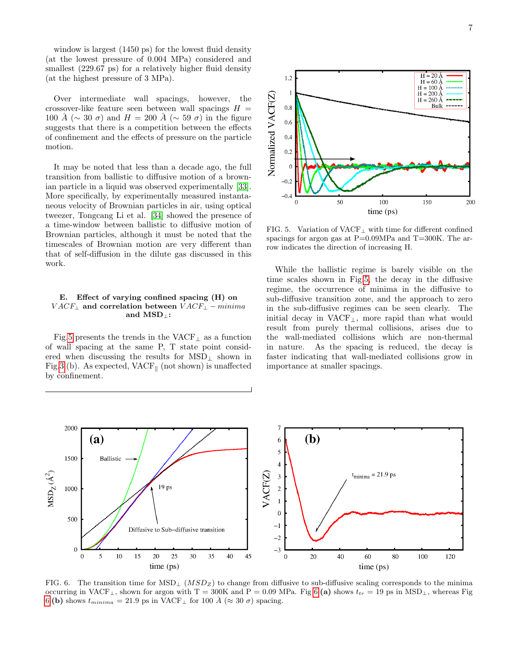window is largest (1450 ps) for the lowest fluid density (at the lowest pressure of 0.004 MPa) considered and smallest (229.67 ps) for a relatively higher fluid density (at the highest pressure of 3 MPa).

Over intermediate wall spacings, however, the crossover-like feature seen between wall spacings  $H =$ 100 Å ( $\sim$  30  $\sigma$ ) and  $H = 200$  Å ( $\sim$  59  $\sigma$ ) in the figure suggests that there is a competition between the effects of confinement and the effects of pressure on the particle motion.

It may be noted that less than a decade ago, the full transition from ballistic to diffusive motion of a brown-ian particle in a liquid was observed experimentally [\[33\]](#page-15-9). More specifically, by experimentally measured instantaneous velocity of Brownian particles in air, using optical tweezer, Tongcang Li et al. [\[34\]](#page-15-10) showed the presence of a time-window between ballistic to diffusive motion of Brownian particles, although it must be noted that the timescales of Brownian motion are very different than that of self-diffusion in the dilute gas discussed in this work.

# E. Effect of varying confined spacing (H) on  $VACF_{\perp}$  and correlation between  $VACF_{\perp} - minima$ and MSD⊥:

Fig[.5](#page-6-0) presents the trends in the  $\text{VACF}_\perp$  as a function of wall spacing at the same P, T state point considered when discussing the results for  $\text{MSD}_\perp$  shown in Fig[.3.](#page-3-1)(b). As expected,  $VACF_{\parallel}$  (not shown) is unaffected by confinement.



<span id="page-6-0"></span>FIG. 5. Variation of VACF<sup>⊥</sup> with time for different confined spacings for argon gas at  $P=0.09MPa$  and  $T=300K$ . The arrow indicates the direction of increasing H.

While the ballistic regime is barely visible on the time scales shown in Fig[.5,](#page-6-0) the decay in the diffusive regime, the occurrence of minima in the diffusive to sub-diffusive transition zone, and the approach to zero in the sub-diffusive regimes can be seen clearly. The initial decay in VACF⊥, more rapid than what would result from purely thermal collisions, arises due to the wall-mediated collisions which are non-thermal in nature. As the spacing is reduced, the decay is faster indicating that wall-mediated collisions grow in importance at smaller spacings.



<span id="page-6-1"></span>FIG. 6. The transition time for  $MSD_{\perp}$  ( $MSD_{Z}$ ) to change from diffusive to sub-diffusive scaling corresponds to the minima occurring in VACF<sub>⊥</sub>, shown for argon with T = 300K and P = 0.09 MPa. Fig [6.](#page-6-1)(a) shows  $t_{tr} = 19$  ps in MSD<sub>⊥</sub>, whereas Fig [6.](#page-6-1)(b) shows  $t_{minima} = 21.9$  ps in VACF<sub>⊥</sub> for 100 Å ( $\approx 30 \sigma$ ) spacing.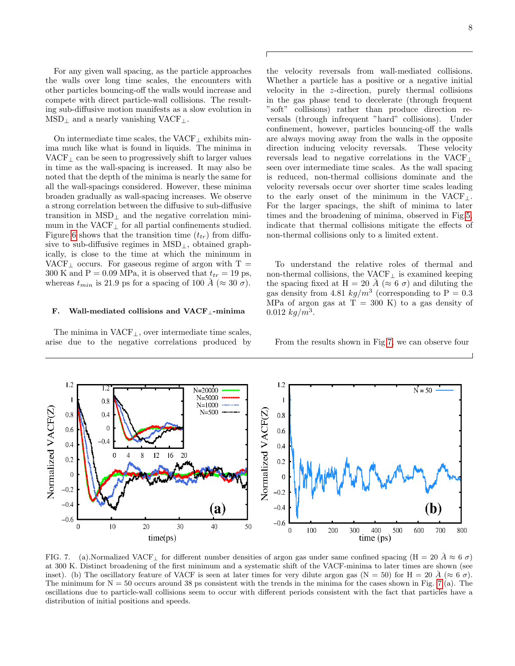For any given wall spacing, as the particle approaches the walls over long time scales, the encounters with other particles bouncing-off the walls would increase and compete with direct particle-wall collisions. The resulting sub-diffusive motion manifests as a slow evolution in  $MSD_{\perp}$  and a nearly vanishing VACF<sub>⊥</sub>.

On intermediate time scales, the  $VACF_{\perp}$  exhibits minima much like what is found in liquids. The minima in VACF $<sub>⊥</sub>$  can be seen to progressively shift to larger values</sub> in time as the wall-spacing is increased. It may also be noted that the depth of the minima is nearly the same for all the wall-spacings considered. However, these minima broaden gradually as wall-spacing increases. We observe a strong correlation between the diffusive to sub-diffusive transition in  $\text{MSD}_\perp$  and the negative correlation minimum in the  $VACF_{\perp}$  for all partial confinements studied. Figure [6](#page-6-1) shows that the transition time  $(t_{tr})$  from diffusive to sub-diffusive regimes in MSD⊥, obtained graphically, is close to the time at which the minimum in VACF<sub>⊥</sub> occurs. For gaseous regime of argon with  $T =$ 300 K and P = 0.09 MPa, it is observed that  $t_{tr} = 19$  ps, whereas  $t_{min}$  is 21.9 ps for a spacing of 100 Å ( $\approx 30 \sigma$ ).

# F. Wall-mediated collisions and VACF⊥-minima

The minima in  $VACF_{\perp}$ , over intermediate time scales, arise due to the negative correlations produced by

the velocity reversals from wall-mediated collisions. Whether a particle has a positive or a negative initial velocity in the z-direction, purely thermal collisions in the gas phase tend to decelerate (through frequent "soft" collisions) rather than produce direction reversals (through infrequent "hard" collisions). Under confinement, however, particles bouncing-off the walls are always moving away from the walls in the opposite direction inducing velocity reversals. These velocity reversals lead to negative correlations in the VACF<sup>⊥</sup> seen over intermediate time scales. As the wall spacing is reduced, non-thermal collisions dominate and the velocity reversals occur over shorter time scales leading to the early onset of the minimum in the VACF $\perp$ . For the larger spacings, the shift of minima to later times and the broadening of minima, observed in Fig[.5,](#page-6-0) indicate that thermal collisions mitigate the effects of non-thermal collisions only to a limited extent.

To understand the relative roles of thermal and non-thermal collisions, the  $\text{VACF}_\perp$  is examined keeping the spacing fixed at H = 20  $\AA$  ( $\approx$  6  $\sigma$ ) and diluting the gas density from 4.81  $kg/m^3$  (corresponding to P = 0.3) MPa of argon gas at  $T = 300$  K) to a gas density of  $0.012\ kg/m^3$ .

From the results shown in Fig[.7,](#page-7-0) we can observe four

<span id="page-7-0"></span>

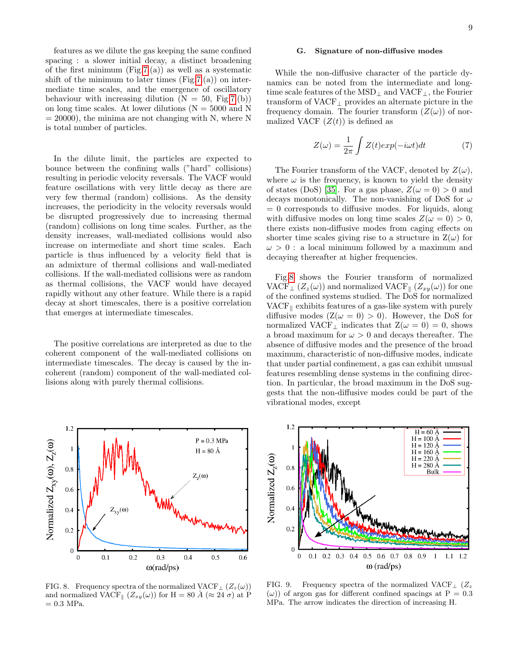features as we dilute the gas keeping the same confined spacing : a slower initial decay, a distinct broadening of the first minimum  $(Fig.7.(a))$  $(Fig.7.(a))$  $(Fig.7.(a))$  as well as a systematic shift of the minimum to later times  $(Fig.7.(a))$  $(Fig.7.(a))$  $(Fig.7.(a))$  on intermediate time scales, and the emergence of oscillatory behaviour with increasing dilution  $(N = 50, Fig.7.6)$  $(N = 50, Fig.7.6)$  $(N = 50, Fig.7.6)$ on long time scales. At lower dilutions ( $N = 5000$  and N  $= 20000$ , the minima are not changing with N, where N is total number of particles.

In the dilute limit, the particles are expected to bounce between the confining walls ("hard" collisions) resulting in periodic velocity reversals. The VACF would feature oscillations with very little decay as there are very few thermal (random) collisions. As the density increases, the periodicity in the velocity reversals would be disrupted progressively due to increasing thermal (random) collisions on long time scales. Further, as the density increases, wall-mediated collisions would also increase on intermediate and short time scales. Each particle is thus influenced by a velocity field that is an admixture of thermal collisions and wall-mediated collisions. If the wall-mediated collisions were as random as thermal collisions, the VACF would have decayed rapidly without any other feature. While there is a rapid decay at short timescales, there is a positive correlation that emerges at intermediate timescales.

The positive correlations are interpreted as due to the coherent component of the wall-mediated collisions on intermediate timescales. The decay is caused by the incoherent (random) component of the wall-mediated collisions along with purely thermal collisions.



<span id="page-8-0"></span>FIG. 8. Frequency spectra of the normalized VACF<sub>⊥</sub>  $(Z_z(\omega))$ and normalized VACF<sub>||</sub>  $(Z_{xy}(\omega))$  for H = 80  $\AA$  ( $\approx$  24  $\sigma$ ) at P  $= 0.3$  MPa.

### G. Signature of non-diffusive modes

While the non-diffusive character of the particle dynamics can be noted from the intermediate and longtime scale features of the MSD<sub>⊥</sub> and VACF<sub>⊥</sub>, the Fourier transform of VACF<sup>⊥</sup> provides an alternate picture in the frequency domain. The fourier transform  $(Z(\omega))$  of normalized VACF  $(Z(t))$  is defined as

$$
Z(\omega) = \frac{1}{2\pi} \int Z(t)exp(-i\omega t)dt
$$
 (7)

The Fourier transform of the VACF, denoted by  $Z(\omega)$ , where  $\omega$  is the frequency, is known to yield the density of states (DoS) [\[35\]](#page-15-11). For a gas phase,  $Z(\omega = 0) > 0$  and decays monotonically. The non-vanishing of DoS for  $\omega$  $= 0$  corresponds to diffusive modes. For liquids, along with diffusive modes on long time scales  $Z(\omega = 0) > 0$ , there exists non-diffusive modes from caging effects on shorter time scales giving rise to a structure in  $Z(\omega)$  for  $\omega > 0$ : a local minimum followed by a maximum and decaying thereafter at higher frequencies.

Fig[.8](#page-8-0) shows the Fourier transform of normalized VACF<sub>⊥</sub>  $(Z_z(\omega))$  and normalized VACF<sub>||</sub>  $(Z_{xy}(\omega))$  for one of the confined systems studied. The DoS for normalized  $VACF_{\parallel}$  exhibits features of a gas-like system with purely diffusive modes  $(Z(\omega = 0) > 0)$ . However, the DoS for normalized VACF<sub>⊥</sub> indicates that  $Z(\omega = 0) = 0$ , shows a broad maximum for  $\omega > 0$  and decays thereafter. The absence of diffusive modes and the presence of the broad maximum, characteristic of non-diffusive modes, indicate that under partial confinement, a gas can exhibit unusual features resembling dense systems in the confining direction. In particular, the broad maximum in the DoS suggests that the non-diffusive modes could be part of the vibrational modes, except



<span id="page-8-1"></span>FIG. 9. Frequency spectra of the normalized VACF⊥  $(Z_z$  $(\omega)$  of argon gas for different confined spacings at P = 0.3 MPa. The arrow indicates the direction of increasing H.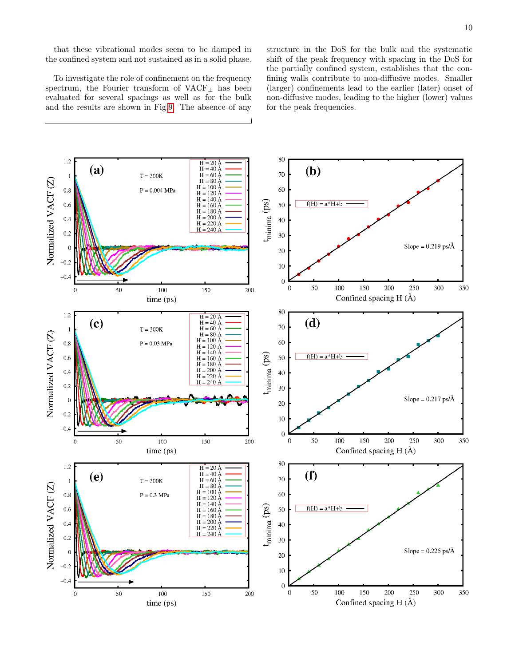that these vibrational modes seem to be damped in the confined system and not sustained as in a solid phase.

To investigate the role of confinement on the frequency spectrum, the Fourier transform of VACF<sup>⊥</sup> has been evaluated for several spacings as well as for the bulk and the results are shown in Fig[.9.](#page-8-1) The absence of any

structure in the DoS for the bulk and the systematic shift of the peak frequency with spacing in the DoS for the partially confined system, establishes that the confining walls contribute to non-diffusive modes. Smaller (larger) confinements lead to the earlier (later) onset of non-diffusive modes, leading to the higher (lower) values for the peak frequencies.

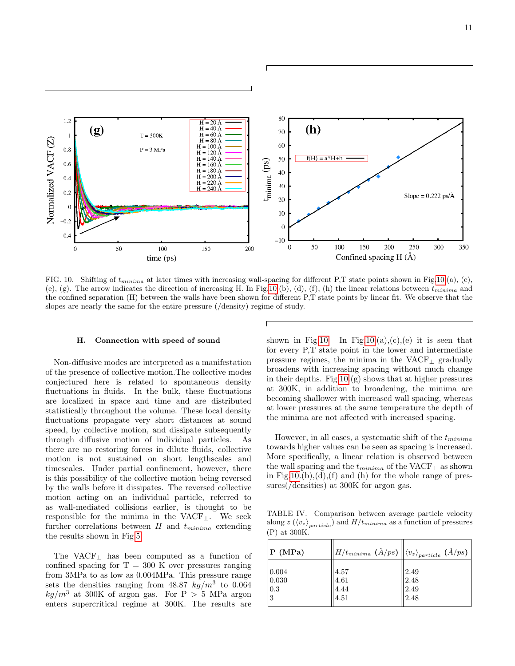![](_page_10_Figure_0.jpeg)

<span id="page-10-0"></span>FIG. 10. Shifting of  $t_{minima}$  at later times with increasing wall-spacing for different P,T state points shown in Fig[.10.](#page-10-0)(a), (c), (e), (g). The arrow indicates the direction of increasing H. In Fig[.10.](#page-10-0)(b), (d), (f), (h) the linear relations between  $t_{minima}$  and the confined separation (H) between the walls have been shown for different P,T state points by linear fit. We observe that the slopes are nearly the same for the entire pressure (/density) regime of study.

#### H. Connection with speed of sound

Non-diffusive modes are interpreted as a manifestation of the presence of collective motion.The collective modes conjectured here is related to spontaneous density fluctuations in fluids. In the bulk, these fluctuations are localized in space and time and are distributed statistically throughout the volume. These local density fluctuations propagate very short distances at sound speed, by collective motion, and dissipate subsequently through diffusive motion of individual particles. As there are no restoring forces in dilute fluids, collective motion is not sustained on short lengthscales and timescales. Under partial confinement, however, there is this possibility of the collective motion being reversed by the walls before it dissipates. The reversed collective motion acting on an individual particle, referred to as wall-mediated collisions earlier, is thought to be responsible for the minima in the VACF⊥. We seek further correlations between  $H$  and  $t_{minima}$  extending the results shown in Fig[.5.](#page-6-0)

The VACF<sub>⊥</sub> has been computed as a function of confined spacing for  $T = 300$  K over pressures ranging from 3MPa to as low as 0.004MPa. This pressure range sets the densities ranging from 48.87  $kg/m^3$  to 0.064  $kg/m^3$  at 300K of argon gas. For P > 5 MPa argon enters supercritical regime at 300K. The results are

shown in Fig[.10.](#page-10-0) In Fig.10.(a),(c),(e) it is seen that for every P,T state point in the lower and intermediate pressure regimes, the minima in the  $VACF_{\perp}$  gradually broadens with increasing spacing without much change in their depths. Fig  $10.(g)$  shows that at higher pressures at 300K, in addition to broadening, the minima are becoming shallower with increased wall spacing, whereas at lower pressures at the same temperature the depth of the minima are not affected with increased spacing.

However, in all cases, a systematic shift of the  $t_{minima}$ towards higher values can be seen as spacing is increased. More specifically, a linear relation is observed between the wall spacing and the  $t_{minima}$  of the VACF<sub>⊥</sub> as shown in Fig[.10.](#page-10-0) $(b)$ , $(d)$ , $(f)$  and  $(h)$  for the whole range of pressures(/densities) at 300K for argon gas.

<span id="page-10-1"></span>TABLE IV. Comparison between average particle velocity along z  $(\langle v_z \rangle_{particle})$  and  $H/t_{minima}$  as a function of pressures (P) at 300K.

| P(MPa) | $\left  H/t_{minima} \right.$ $\left( \frac{\lambda}{ps} \right) \left\  \left\langle v_{z} \right\rangle_{particle} \right.$ $\left( \frac{\lambda}{ps} \right)$ |      |
|--------|-------------------------------------------------------------------------------------------------------------------------------------------------------------------|------|
| 0.004  | 4.57                                                                                                                                                              | 2.49 |
| 0.030  | 4.61                                                                                                                                                              | 2.48 |
| 0.3    | 4.44                                                                                                                                                              | 2.49 |
| 3      | 4.51                                                                                                                                                              | 2.48 |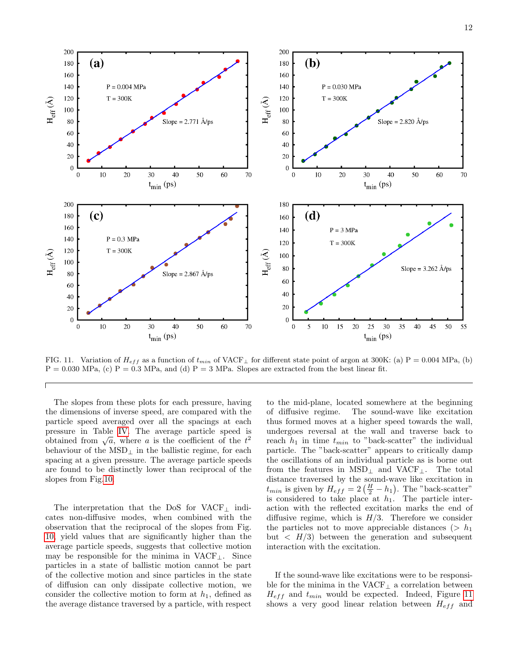![](_page_11_Figure_1.jpeg)

<span id="page-11-0"></span>FIG. 11. Variation of  $H_{eff}$  as a function of  $t_{min}$  of VACF<sub>⊥</sub> for different state point of argon at 300K: (a) P = 0.004 MPa, (b)  $P = 0.030$  MPa, (c)  $P = 0.3$  MPa, and (d)  $P = 3$  MPa. Slopes are extracted from the best linear fit.

The slopes from these plots for each pressure, having the dimensions of inverse speed, are compared with the particle speed averaged over all the spacings at each pressure in Table [IV.](#page-10-1) The average particle speed is pressure in Table 1V. The average particle speed is<br>obtained from  $\sqrt{a}$ , where a is the coefficient of the  $t^2$ behaviour of the MSD $<sub>⊥</sub>$  in the ballistic regime, for each</sub> spacing at a given pressure. The average particle speeds are found to be distinctly lower than reciprocal of the slopes from Fig[.10.](#page-10-0)

The interpretation that the DoS for VACF<sub>⊥</sub> indicates non-diffusive modes, when combined with the observation that the reciprocal of the slopes from Fig. [10,](#page-10-0) yield values that are significantly higher than the average particle speeds, suggests that collective motion may be responsible for the minima in  $VACF_{\perp}$ . Since particles in a state of ballistic motion cannot be part of the collective motion and since particles in the state of diffusion can only dissipate collective motion, we consider the collective motion to form at  $h_1$ , defined as the average distance traversed by a particle, with respect

to the mid-plane, located somewhere at the beginning of diffusive regime. The sound-wave like excitation thus formed moves at a higher speed towards the wall, undergoes reversal at the wall and traverse back to reach  $h_1$  in time  $t_{min}$  to "back-scatter" the individual particle. The "back-scatter" appears to critically damp the oscillations of an individual particle as is borne out from the features in  $MSD_{\perp}$  and  $VACF_{\perp}$ . The total distance traversed by the sound-wave like excitation in  $t_{min}$  is given by  $H_{eff} = 2(\frac{H}{2} - h_1)$ . The "back-scatter" is considered to take place at  $h_1$ . The particle interaction with the reflected excitation marks the end of diffusive regime, which is  $H/3$ . Therefore we consider the particles not to move appreciable distances ( $> h_1$ ) but  $\langle H/3 \rangle$  between the generation and subsequent interaction with the excitation.

If the sound-wave like excitations were to be responsible for the minima in the VACF<sub>⊥</sub> a correlation between  $H_{eff}$  and  $t_{min}$  would be expected. Indeed, Figure [11](#page-11-0) shows a very good linear relation between  $H_{eff}$  and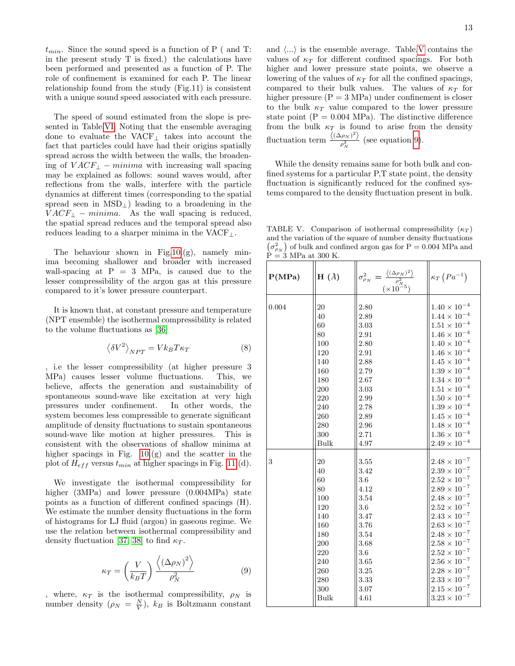$t_{min}$ . Since the sound speed is a function of P ( and T: in the present study T is fixed.) the calculations have been performed and presented as a function of P. The role of confinement is examined for each P. The linear relationship found from the study (Fig.11) is consistent with a unique sound speed associated with each pressure.

The speed of sound estimated from the slope is presented in Table[.VI.](#page-13-0) Noting that the ensemble averaging done to evaluate the VACF<sup>⊥</sup> takes into account the fact that particles could have had their origins spatially spread across the width between the walls, the broadening of  $VACF_{\perp} - minima$  with increasing wall spacing may be explained as follows: sound waves would, after reflections from the walls, interfere with the particle dynamics at different times (corresponding to the spatial spread seen in  $MSD_{\perp}$ ) leading to a broadening in the  $VACF_{\perp} - minima$ . As the wall spacing is reduced, the spatial spread reduces and the temporal spread also reduces leading to a sharper minima in the VACF $\perp$ .

The behaviour shown in Fig[.10.](#page-10-0)(g), namely minima becoming shallower and broader with increased wall-spacing at  $P = 3$  MPa, is caused due to the lesser compressibility of the argon gas at this pressure compared to it's lower pressure counterpart.

It is known that, at constant pressure and temperature (NPT ensemble) the isothermal compressibility is related to the volume fluctuations as [\[36\]](#page-15-12)

$$
\left\langle \delta V^2 \right\rangle_{NPT} = V k_B T \kappa_T \tag{8}
$$

, i.e the lesser compressibility (at higher pressure 3 MPa) causes lesser volume fluctuations. This, we believe, affects the generation and sustainability of spontaneous sound-wave like excitation at very high pressures under confinement. In other words, the system becomes less compressible to generate significant amplitude of density fluctuations to sustain spontaneous sound-wave like motion at higher pressures. This is consistent with the observations of shallow minima at higher spacings in Fig.  $10.(g)$  and the scatter in the plot of  $H_{eff}$  versus  $t_{min}$  at higher spacings in Fig. [11.](#page-11-0)(d).

We investigate the isothermal compressibility for higher (3MPa) and lower pressure (0.004MPa) state points as a function of different confined spacings (H). We estimate the number density fluctuations in the form of histograms for LJ fluid (argon) in gaseous regime. We use the relation between isothermal compressibility and density fluctuation [\[37,](#page-15-13) [38\]](#page-15-14) to find  $\kappa_T$ .

<span id="page-12-1"></span>
$$
\kappa_T = \left(\frac{V}{k_B T}\right) \frac{\left\langle \left(\Delta \rho_N\right)^2 \right\rangle}{\rho_N^2} \tag{9}
$$

, where,  $\kappa_T$  is the isothermal compressibility,  $\rho_N$  is number density  $(\rho_N = \frac{N}{V})$ ,  $k_B$  is Boltzmann constant

and  $\langle \ldots \rangle$  is the ensemble average. Table[.V](#page-12-0) contains the values of  $\kappa_T$  for different confined spacings. For both higher and lower pressure state points, we observe a lowering of the values of  $\kappa_T$  for all the confined spacings, compared to their bulk values. The values of  $\kappa_T$  for higher pressure  $(P = 3 MPa)$  under confinement is closer to the bulk  $\kappa_T$  value compared to the lower pressure state point  $(P = 0.004 \text{ MPa})$ . The distinctive difference from the bulk  $\kappa_T$  is found to arise from the density fluctuation term  $\frac{\langle (\Delta \rho_N)^2 \rangle}{a^2}$  $\frac{\rho_N}{\rho_N^2}$  (see equation [9\)](#page-12-1).

While the density remains same for both bulk and confined systems for a particular P,T state point, the density fluctuation is significantly reduced for the confined systems compared to the density fluctuation present in bulk.

<span id="page-12-0"></span>TABLE V. Comparison of isothermal compressibility  $(\kappa_T)$ and the variation of the square of number density fluctuations  $(\sigma_{\rho_N}^2)$  of bulk and confined argon gas for P = 0.004 MPa and  $\hat{P} = 3$  MPa at 300 K.

| P(MPa) | $H(\AA)$ | $\sigma_{\rho_N}^2 = \frac{\langle (\Delta \rho_N)^2 \rangle}{\rho_N^2}$ (×10 <sup>-5</sup> ) | $\kappa_T\left(Pa^{-1}\right)$ |
|--------|----------|-----------------------------------------------------------------------------------------------|--------------------------------|
| 0.004  | 20       | 2.80                                                                                          | $1.40\times10^{-4}$            |
|        | 40       | 2.89                                                                                          | $1.44\times10^{-4}$            |
|        | 60       | $3.03\,$                                                                                      | $1.51\times10^{-4}$            |
|        | 80       | 2.91                                                                                          | $1.46\times10^{-4}$            |
|        | 100      | 2.80                                                                                          | $1.40\times10^{-4}$            |
|        | 120      | 2.91                                                                                          | $1.46\times10^{-4}$            |
|        | 140      | 2.88                                                                                          | $1.45 \times 10^{-4}$          |
|        | 160      | 2.79                                                                                          | $1.39\times10^{-4}$            |
|        | 180      | $2.67\,$                                                                                      | $1.34\times10^{-4}$            |
|        | 200      | 3.03                                                                                          | $1.51\times10^{-4}$            |
|        | 220      | 2.99                                                                                          | $1.50\times10^{-4}$            |
|        | 240      | 2.78                                                                                          | $1.39 \times 10^{-4}$          |
|        | 260      | 2.89                                                                                          | $1.45 \times 10^{-4}$          |
|        | 280      | 2.96                                                                                          | $1.48\times10^{-4}$            |
|        | 300      | 2.71                                                                                          | $1.36\times10^{-4}$            |
|        | Bulk     | 4.97                                                                                          | $2.49 \times 10^{-4}$          |
| 3      | 20       | $3.55\,$                                                                                      | $2.48\times10^{-7}$            |
|        | 40       | 3.42                                                                                          | $2.39\times10^{-7}$            |
|        | 60       | 3.6                                                                                           | $2.52\times10^{-7}$            |
|        | 80       | 4.12                                                                                          | $2.89\times10^{-7}$            |
|        | 100      | 3.54                                                                                          | $2.48\times10^{-7}$            |
|        | 120      | 3.6                                                                                           | $2.52 \times 10^{-7}$          |
|        | 140      | 3.47                                                                                          | $2.43\times10^{-7}$            |
|        | 160      | 3.76                                                                                          | $2.63\times10^{-7}$            |
|        | 180      | 3.54                                                                                          | $2.48\times10^{-7}$            |
|        | 200      | 3.68                                                                                          | $2.58\times10^{-7}$            |
|        | 220      | 3.6                                                                                           | $2.52\times10^{-7}$            |
|        | 240      | 3.65                                                                                          | $2.56\times10^{-7}$            |
|        | 260      | 3.25                                                                                          | $2.28\times10^{-7}$            |
|        | 280      | 3.33                                                                                          | $2.33\times10^{-7}$            |
|        | 300      | 3.07                                                                                          | $2.15\times10^{-7}$            |
|        | Bulk     | 4.61                                                                                          | $3.23\times10^{-7}$            |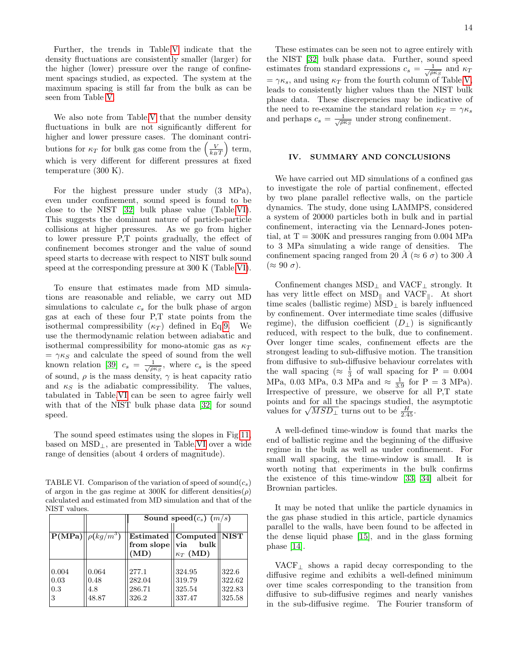Further, the trends in Table[.V](#page-12-0) indicate that the density fluctuations are consistently smaller (larger) for the higher (lower) pressure over the range of confinement spacings studied, as expected. The system at the maximum spacing is still far from the bulk as can be seen from Table [V.](#page-12-0)

We also note from Table[.V](#page-12-0) that the number density fluctuations in bulk are not significantly different for higher and lower pressure cases. The dominant contributions for  $\kappa_T$  for bulk gas come from the  $\left(\frac{V}{k_BT}\right)$  term, which is very different for different pressures at fixed temperature (300 K).

For the highest pressure under study (3 MPa), even under confinement, sound speed is found to be close to the NIST [\[32\]](#page-15-8) bulk phase value (Table[.VI\)](#page-13-0). This suggests the dominant nature of particle-particle collisions at higher pressures. As we go from higher to lower pressure P,T points gradually, the effect of confinement becomes stronger and the value of sound speed starts to decrease with respect to NIST bulk sound speed at the corresponding pressure at 300 K (Table[.VI\)](#page-13-0).

To ensure that estimates made from MD simulations are reasonable and reliable, we carry out MD simulations to calculate  $c_s$  for the bulk phase of argon gas at each of these four P,T state points from the isothermal compressibility  $(\kappa_T)$  defined in Eq[.9.](#page-12-1) We use the thermodynamic relation between adiabatic and isothermal compressibility for mono-atomic gas as  $\kappa_T$  $= \gamma \kappa_S$  and calculate the speed of sound from the well known relation [\[39\]](#page-15-15)  $c_s = \frac{1}{\sqrt{\rho \kappa_S}}$ , where  $c_s$  is the speed of sound,  $\rho$  is the mass density,  $\gamma$  is heat capacity ratio and  $\kappa_S$  is the adiabatic compressibility. The values, tabulated in Table[.VI](#page-13-0) can be seen to agree fairly well with that of the NIST bulk phase data [\[32\]](#page-15-8) for sound speed.

The sound speed estimates using the slopes in Fig[.11,](#page-11-0) based on  $\text{MSD}_\perp$ , are presented in Table[.VI](#page-13-0) over a wide range of densities (about 4 orders of magnitude).

<span id="page-13-0"></span>TABLE VI. Comparison of the variation of speed of sound $(c_s)$ of argon in the gas regime at 300K for different densities( $\rho$ ) calculated and estimated from MD simulation and that of the NIST values.

|                           |                                 | Sound speed( $c_s$ ) (m/s)          |                                                                              |                                     |  |
|---------------------------|---------------------------------|-------------------------------------|------------------------------------------------------------------------------|-------------------------------------|--|
|                           | $\mathbf{P(MPa)}\ \rho(kg/m^3)$ | from slope $\vert\vert$ via<br>(MD) | Estimated $\vert\vert$ Computed $\vert\vert$ NIST<br>bulk<br>$\kappa_T$ (MD) |                                     |  |
| 0.004<br>0.03<br>0.3<br>3 | 0.064<br>0.48<br>4.8<br>48.87   | 277.1<br>282.04<br>286.71<br>326.2  | 324.95<br>319.79<br>325.54<br>337.47                                         | 322.6<br>322.62<br>322.83<br>325.58 |  |

These estimates can be seen not to agree entirely with the NIST [\[32\]](#page-15-8) bulk phase data. Further, sound speed estimates from standard expressions  $c_s = \frac{1}{\sqrt{\rho \kappa_S}}$  and  $\kappa_T$  $=\gamma \kappa_s$ , and using  $\kappa_T$  from the fourth column of Table[.V,](#page-12-0) leads to consistently higher values than the NIST bulk phase data. These discrepencies may be indicative of the need to re-examine the standard relation  $\kappa_T = \gamma \kappa_s$ and perhaps  $c_s = \frac{1}{\sqrt{\rho \kappa_S}}$  under strong confinement.

# IV. SUMMARY AND CONCLUSIONS

We have carried out MD simulations of a confined gas to investigate the role of partial confinement, effected by two plane parallel reflective walls, on the particle dynamics. The study, done using LAMMPS, considered a system of 20000 particles both in bulk and in partial confinement, interacting via the Lennard-Jones potential, at  $T = 300K$  and pressures ranging from 0.004 MPa to 3 MPa simulating a wide range of densities. The confinement spacing ranged from 20  $\AA$  ( $\approx$  6  $\sigma$ ) to 300  $\AA$  $(\approx 90 \sigma).$ 

Confinement changes MSD<sup>⊥</sup> and VACF<sup>⊥</sup> strongly. It has very little effect on  $MSD_{\parallel}$  and  $VACF_{\parallel}$ . At short time scales (ballistic regime)  $\text{MSD}_\perp$  is barely influenced by confinement. Over intermediate time scales (diffusive regime), the diffusion coefficient  $(D_+)$  is significantly reduced, with respect to the bulk, due to confinement. Over longer time scales, confinement effects are the strongest leading to sub-diffusive motion. The transition from diffusive to sub-diffusive behaviour correlates with the wall spacing ( $\approx \frac{1}{3}$  of wall spacing for P = 0.004 MPa, 0.03 MPa, 0.3 MPa and  $\approx \frac{1}{3.9}$  for P = 3 MPa). Irrespective of pressure, we observe for all P,T state points and for all the spacings studied, the asymptotic points and for all the spacings studied,<br>values for  $\sqrt{MSD_{\perp}}$  turns out to be  $\frac{H}{2.45}$ .

A well-defined time-window is found that marks the end of ballistic regime and the beginning of the diffusive regime in the bulk as well as under confinement. For small wall spacing, the time-window is small. It is worth noting that experiments in the bulk confirms the existence of this time-window [\[33,](#page-15-9) [34\]](#page-15-10) albeit for Brownian particles.

It may be noted that unlike the particle dynamics in the gas phase studied in this article, particle dynamics parallel to the walls, have been found to be affected in the dense liquid phase [\[15\]](#page-14-4), and in the glass forming phase [\[14\]](#page-14-13).

VACF<sup>⊥</sup> shows a rapid decay corresponding to the diffusive regime and exhibits a well-defined minimum over time scales corresponding to the transition from diffusive to sub-diffusive regimes and nearly vanishes in the sub-diffusive regime. The Fourier transform of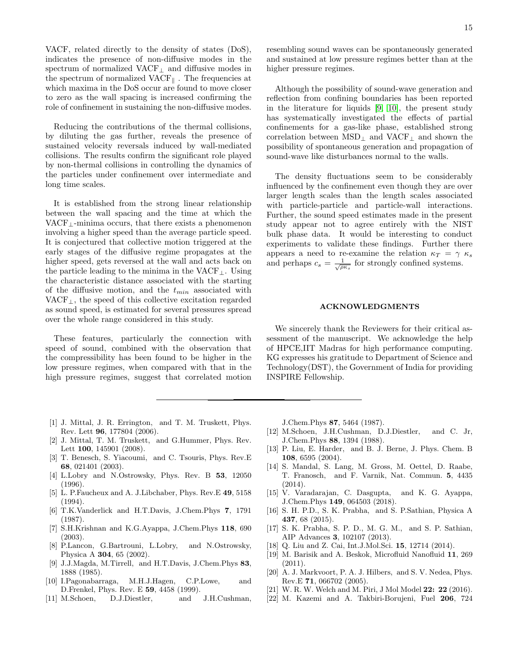VACF, related directly to the density of states (DoS), indicates the presence of non-diffusive modes in the spectrum of normalized VACF<sup>⊥</sup> and diffusive modes in the spectrum of normalized  $VACF_{\parallel}$ . The frequencies at which maxima in the DoS occur are found to move closer to zero as the wall spacing is increased confirming the role of confinement in sustaining the non-diffusive modes.

Reducing the contributions of the thermal collisions, by diluting the gas further, reveals the presence of sustained velocity reversals induced by wall-mediated collisions. The results confirm the significant role played by non-thermal collisions in controlling the dynamics of the particles under confinement over intermediate and long time scales.

It is established from the strong linear relationship between the wall spacing and the time at which the VACF $\perp$ -minima occurs, that there exists a phenomenon involving a higher speed than the average particle speed. It is conjectured that collective motion triggered at the early stages of the diffusive regime propagates at the higher speed, gets reversed at the wall and acts back on the particle leading to the minima in the  $VACF_{\perp}$ . Using the characteristic distance associated with the starting of the diffusive motion, and the  $t_{min}$  associated with VACF<sub>⊥</sub>, the speed of this collective excitation regarded as sound speed, is estimated for several pressures spread over the whole range considered in this study.

These features, particularly the connection with speed of sound, combined with the observation that the compressibility has been found to be higher in the low pressure regimes, when compared with that in the high pressure regimes, suggest that correlated motion

resembling sound waves can be spontaneously generated and sustained at low pressure regimes better than at the higher pressure regimes.

Although the possibility of sound-wave generation and reflection from confining boundaries has been reported in the literature for liquids [\[9,](#page-14-14) [10\]](#page-14-15), the present study has systematically investigated the effects of partial confinements for a gas-like phase, established strong correlation between  $\text{MSD}_\perp$  and  $\text{VACF}_\perp$  and shown the possibility of spontaneous generation and propagation of sound-wave like disturbances normal to the walls.

The density fluctuations seem to be considerably influenced by the confinement even though they are over larger length scales than the length scales associated with particle-particle and particle-wall interactions. Further, the sound speed estimates made in the present study appear not to agree entirely with the NIST bulk phase data. It would be interesting to conduct experiments to validate these findings. Further there appears a need to re-examine the relation  $\kappa_T = \gamma \kappa_s$ and perhaps  $c_s = \frac{1}{\sqrt{\rho \kappa_s}}$  for strongly confined systems.

# ACKNOWLEDGMENTS

We sincerely thank the Reviewers for their critical assessment of the manuscript. We acknowledge the help of HPCE,IIT Madras for high performance computing. KG expresses his gratitude to Department of Science and Technology(DST), the Government of India for providing INSPIRE Fellowship.

- <span id="page-14-0"></span>[1] J. Mittal, J. R. Errington, and T. M. Truskett, Phys. Rev. Lett 96, 177804 (2006).
- <span id="page-14-1"></span>[2] J. Mittal, T. M. Truskett, and G.Hummer, Phys. Rev. Lett 100, 145901 (2008).
- <span id="page-14-2"></span>[3] T. Benesch, S. Yiacoumi, and C. Tsouris, Phys. Rev.E 68, 021401 (2003).
- <span id="page-14-3"></span>[4] L.Lobry and N.Ostrowsky, Phys. Rev. B 53, 12050 (1996).
- [5] L. P.Faucheux and A. J.Libchaber, Phys. Rev.E 49, 5158 (1994).
- [6] T.K.Vanderlick and H.T.Davis, J.Chem.Phys 7, 1791 (1987).
- <span id="page-14-12"></span>[7] S.H.Krishnan and K.G.Ayappa, J.Chem.Phys 118, 690 (2003).
- P.Lancon, G.Bartrouni, L.Lobry, and N.Ostrowsky, Physica A 304, 65 (2002).
- <span id="page-14-14"></span>[9] J.J.Magda, M.Tirrell, and H.T.Davis, J.Chem.Phys 83, 1888 (1985).
- <span id="page-14-15"></span>[10] I.Pagonabarraga, M.H.J.Hagen, C.P.Lowe, and D.Frenkel, Phys. Rev. E 59, 4458 (1999).
- [11] M.Schoen, D.J.Diestler, and J.H.Cushman,

J.Chem.Phys 87, 5464 (1987).

- [12] M.Schoen, J.H.Cushman, D.J.Diestler, and C. Jr, J.Chem.Phys 88, 1394 (1988).
- [13] P. Liu, E. Harder, and B. J. Berne, J. Phys. Chem. B 108, 6595 (2004).
- <span id="page-14-13"></span>[14] S. Mandal, S. Lang, M. Gross, M. Oettel, D. Raabe, T. Franosch, and F. Varnik, Nat. Commun. 5, 4435 (2014).
- <span id="page-14-4"></span>[15] V. Varadarajan, C. Dasgupta, and K. G. Ayappa, J.Chem.Phys 149, 064503 (2018).
- <span id="page-14-5"></span>[16] S. H. P.D., S. K. Prabha, and S. P.Sathian, Physica A 437, 68 (2015).
- <span id="page-14-6"></span>[17] S. K. Prabha, S. P. D., M. G. M., and S. P. Sathian, AIP Advances 3, 102107 (2013).
- <span id="page-14-7"></span>[18] Q. Liu and Z. Cai, Int.J.Mol.Sci. 15, 12714 (2014).
- <span id="page-14-8"></span>[19] M. Barisik and A. Beskok, Microfluid Nanofluid 11, 269 (2011).
- <span id="page-14-9"></span>[20] A. J. Markvoort, P. A. J. Hilbers, and S. V. Nedea, Phys. Rev.E 71, 066702 (2005).
- <span id="page-14-10"></span>[21] W. R. W. Welch and M. Piri, J Mol Model **22: 22** (2016).
- <span id="page-14-11"></span>[22] M. Kazemi and A. Takbiri-Borujeni, Fuel 206, 724